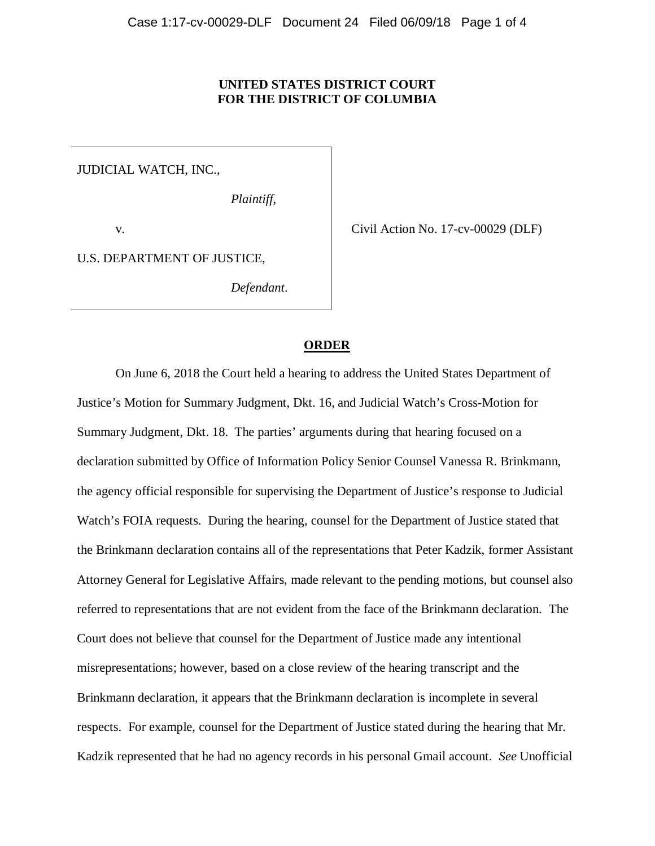# **UNITED STATES DISTRICT COURT FOR THE DISTRICT OF COLUMBIA**

JUDICIAL WATCH, INC.,

*Plaintiff*,

v.

Civil Action No. 17-cv-00029 (DLF)

U.S. DEPARTMENT OF JUSTICE,

*Defendant*.

## **ORDER**

On June 6, 2018 the Court held a hearing to address the United States Department of Justice's Motion for Summary Judgment, Dkt. 16, and Judicial Watch's Cross-Motion for Summary Judgment, Dkt. 18. The parties' arguments during that hearing focused on a declaration submitted by Office of Information Policy Senior Counsel Vanessa R. Brinkmann, the agency official responsible for supervising the Department of Justice's response to Judicial Watch's FOIA requests. During the hearing, counsel for the Department of Justice stated that the Brinkmann declaration contains all of the representations that Peter Kadzik, former Assistant Attorney General for Legislative Affairs, made relevant to the pending motions, but counsel also referred to representations that are not evident from the face of the Brinkmann declaration. The Court does not believe that counsel for the Department of Justice made any intentional misrepresentations; however, based on a close review of the hearing transcript and the Brinkmann declaration, it appears that the Brinkmann declaration is incomplete in several respects. For example, counsel for the Department of Justice stated during the hearing that Mr. Kadzik represented that he had no agency records in his personal Gmail account. *See* Unofficial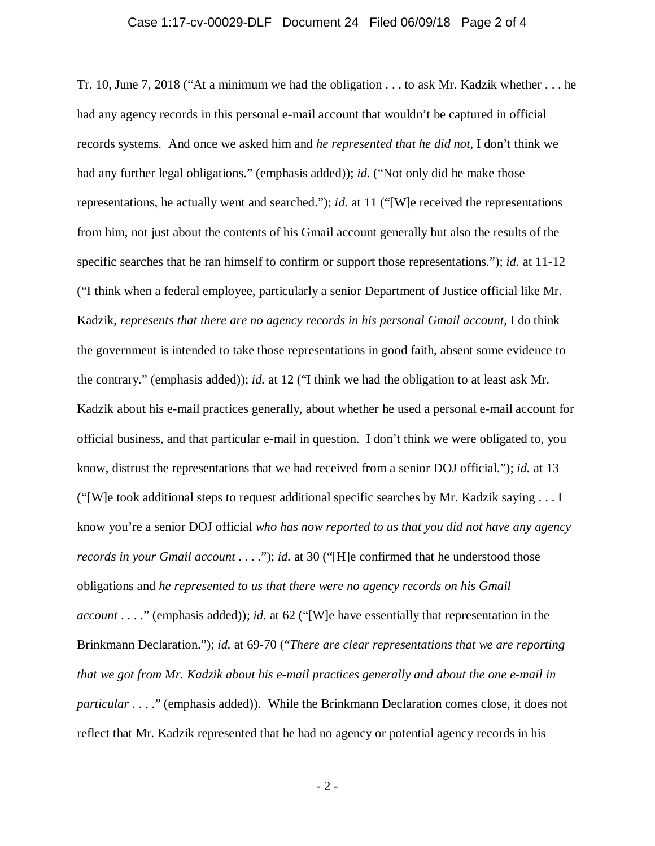## Case 1:17-cv-00029-DLF Document 24 Filed 06/09/18 Page 2 of 4

Tr. 10, June 7, 2018 ("At a minimum we had the obligation . . . to ask Mr. Kadzik whether . . . he had any agency records in this personal e-mail account that wouldn't be captured in official records systems. And once we asked him and *he represented that he did not*, I don't think we had any further legal obligations." (emphasis added)); *id.* ("Not only did he make those representations, he actually went and searched."); *id.* at 11 ("[W]e received the representations from him, not just about the contents of his Gmail account generally but also the results of the specific searches that he ran himself to confirm or support those representations."); *id.* at 11-12 ("I think when a federal employee, particularly a senior Department of Justice official like Mr. Kadzik, *represents that there are no agency records in his personal Gmail account*, I do think the government is intended to take those representations in good faith, absent some evidence to the contrary." (emphasis added)); *id.* at 12 ("I think we had the obligation to at least ask Mr. Kadzik about his e-mail practices generally, about whether he used a personal e-mail account for official business, and that particular e-mail in question. I don't think we were obligated to, you know, distrust the representations that we had received from a senior DOJ official."); *id.* at 13 ("[W]e took additional steps to request additional specific searches by Mr. Kadzik saying . . . I know you're a senior DOJ official *who has now reported to us that you did not have any agency records in your Gmail account* . . . ."); *id.* at 30 ("[H]e confirmed that he understood those obligations and *he represented to us that there were no agency records on his Gmail account* . . . ." (emphasis added)); *id.* at 62 ("[W]e have essentially that representation in the Brinkmann Declaration."); *id.* at 69-70 ("*There are clear representations that we are reporting that we got from Mr. Kadzik about his e-mail practices generally and about the one e-mail in particular* . . . ." (emphasis added)). While the Brinkmann Declaration comes close, it does not reflect that Mr. Kadzik represented that he had no agency or potential agency records in his

- 2 -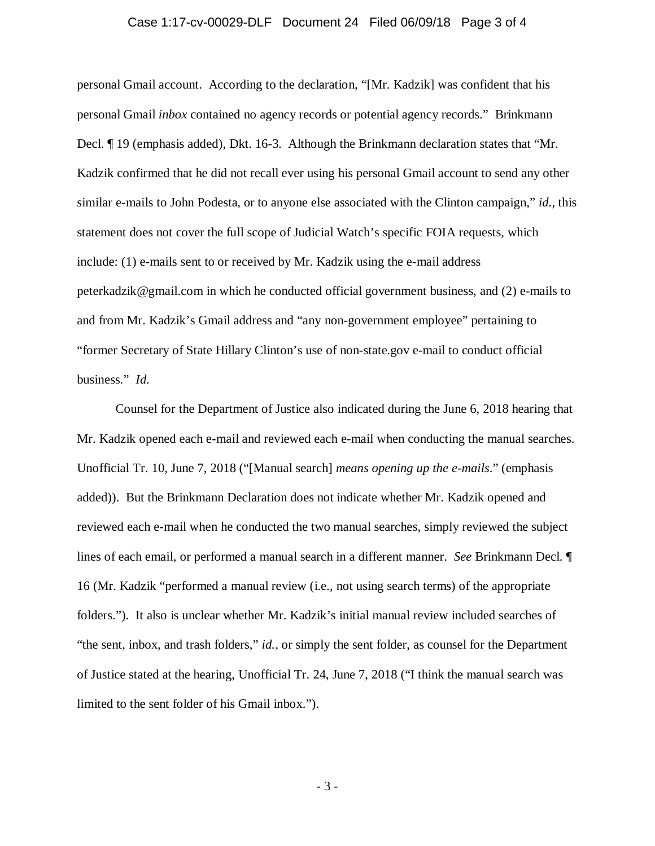# Case 1:17-cv-00029-DLF Document 24 Filed 06/09/18 Page 3 of 4

personal Gmail account. According to the declaration, "[Mr. Kadzik] was confident that his personal Gmail *inbox* contained no agency records or potential agency records." Brinkmann Decl. ¶ 19 (emphasis added), Dkt. 16-3. Although the Brinkmann declaration states that "Mr. Kadzik confirmed that he did not recall ever using his personal Gmail account to send any other similar e-mails to John Podesta, or to anyone else associated with the Clinton campaign," *id.*, this statement does not cover the full scope of Judicial Watch's specific FOIA requests, which include: (1) e-mails sent to or received by Mr. Kadzik using the e-mail address peterkadzik@gmail.com in which he conducted official government business, and (2) e-mails to and from Mr. Kadzik's Gmail address and "any non-government employee" pertaining to "former Secretary of State Hillary Clinton's use of non-state.gov e-mail to conduct official business." *Id.*

Counsel for the Department of Justice also indicated during the June 6, 2018 hearing that Mr. Kadzik opened each e-mail and reviewed each e-mail when conducting the manual searches. Unofficial Tr. 10, June 7, 2018 ("[Manual search] *means opening up the e-mails*." (emphasis added)). But the Brinkmann Declaration does not indicate whether Mr. Kadzik opened and reviewed each e-mail when he conducted the two manual searches, simply reviewed the subject lines of each email, or performed a manual search in a different manner. *See* Brinkmann Decl. ¶ 16 (Mr. Kadzik "performed a manual review (i.e., not using search terms) of the appropriate folders."). It also is unclear whether Mr. Kadzik's initial manual review included searches of "the sent, inbox, and trash folders," *id.*, or simply the sent folder, as counsel for the Department of Justice stated at the hearing, Unofficial Tr. 24, June 7, 2018 ("I think the manual search was limited to the sent folder of his Gmail inbox.").